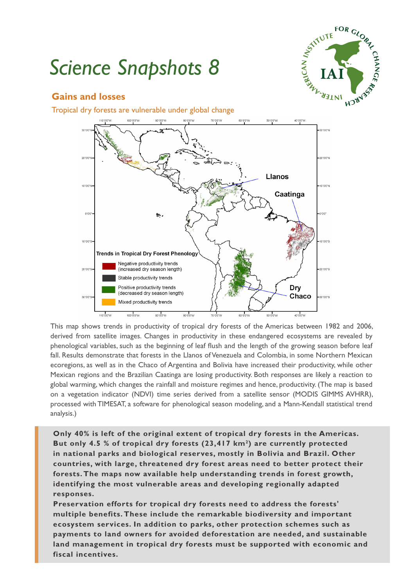# *Science Snapshots 8*



## **Gains and losses**

Tropical dry forests are vulnerable under global change



This map shows trends in productivity of tropical dry forests of the Americas between 1982 and 2006, derived from satellite images. Changes in productivity in these endangered ecosystems are revealed by phenological variables, such as the beginning of leaf flush and the length of the growing season before leaf fall. Results demonstrate that forests in the Llanos of Venezuela and Colombia, in some Northern Mexican ecoregions, as well as in the Chaco of Argentina and Bolivia have increased their productivity, while other Mexican regions and the Brazilian Caatinga are losing productivity. Both responses are likely a reaction to global warming, which changes the rainfall and moisture regimes and hence, productivity. (The map is based on a vegetation indicator (NDVI) time series derived from a satellite sensor (MODIS GIMMS AVHRR), processed with TIMESAT, a software for phenological season modeling, and a Mann-Kendall statistical trend analysis.)

**Only 40% is left of the original extent of tropical dry forests in the Americas. But only 4.5 % of tropical dry forests (23,417 km2) are currently protected in national parks and biological reserves, mostly in Bolivia and Brazil. Other countries, with large, threatened dry forest areas need to better protect their forests. The maps now available help understanding trends in forest growth, identifying the most vulnerable areas and developing regionally adapted responses.**

**Preservation efforts for tropical dry forests need to address the forests' multiple benefits. These include the remarkable biodiversity and important ecosystem services. In addition to parks, other protection schemes such as payments to land owners for avoided deforestation are needed, and sustainable land management in tropical dry forests must be supported with economic and fiscal incentives.**